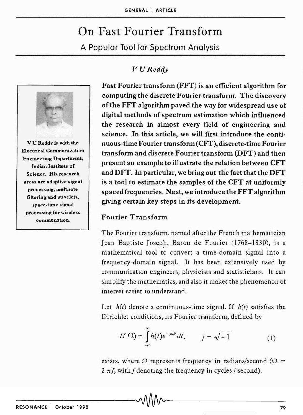# On Fast Fourier Transform

A Popular Tool for Spectrum Analysis

## $V$  *U* Reddy



v U Reddy is with the Electrical Communication Engineering Department, Indian Institute of Science. His research areas are adaptive signal processing, multirate filtering and wavelets, space-time signal processing for wireless communation.

Fast Fourier transform (FFT) is an efficient algorithm for computing the discrete Fourier transform. The discovery of the FFT algorithm paved the way for widespread use of digital methods of spectrum estimation which influenced the research in almost every field of engineering and science. In this article, we will first introduce the continuous-time Fourier transform (CFT), discrete-time Fourier transform and discrete Fourier transform (DFT) and then present an example to illustrate the relation between CFT and DFT. In particular, we bring out the fact that the DFT is a tool to estimate the samples of the CFT at uniformly spaced frequencies. Next, we introduce the FFT algorithm giving certain key steps in its development.

#### Fourier Transform

The Fourier transform, named after the French mathematician Jean Baptiste Joseph, Baron de Fourier (1768-1830), is a mathematical tool to convert a time-domain signal into a frequency-domain signal. It has been extensively used by communication engineers, physicists and statisticians. It can simplify the mathematics, and also it makes the phenomenon of interest easier to understand.

Let  $h(t)$  denote a continuous-time signal. If  $h(t)$  satisfies the Dirichlet conditions, its Fourier transform, defined by

$$
H\ \Omega) = \int_{-\infty}^{\infty} h(t)e^{-j\Omega t}dt, \qquad j = \sqrt{-1} \tag{1}
$$

exists, where  $\Omega$  represents frequency in radians/second ( $\Omega$  = 2  $\pi f$ , with f denoting the frequency in cycles / second).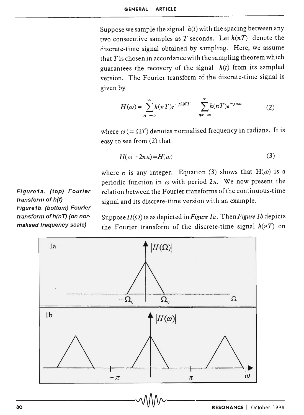Suppose we sample the signal *h(t)* with the spacing between any two consecutive samples as *T* seconds. Let *h(nT)* denote the discrete-time signal obtained by sampling. Here, we assume that *T* is chosen in accordance with the sampling theorem which guarantees the recovery of the signal *h(t)* from its sampled version. The Fourier transform of the discrete-time signal is given by

$$
H(\omega) = \sum_{n=-\infty}^{\infty} h(nT)e^{-j\Omega nT} = \sum_{n=-\infty}^{\infty} h(nT)e^{-j\omega n}
$$
 (2)

where  $\omega (= \Omega T)$  denotes normalised frequency in radians. It is easy to see from (2) that

$$
H(\omega + 2n\pi) = H(\omega) \tag{3}
$$

where *n* is any integer. Equation (3) shows that  $H(\omega)$  is a periodic function in  $\omega$  with period  $2\pi$ . We now present the relation between the Fourier transforms of the continuous-time signal and its discrete-time version with an example.

Suppose  $H(\Omega)$  is as depicted in Figure 1a. Then Figure 1b depicts the Fourier transform of the discrete-time signal  $h(nT)$  on



Figure1a. (top) Fourier transform of h(t) Figure1b. (bottom) Fourier transform of h(nT) (on normalised frequency scale)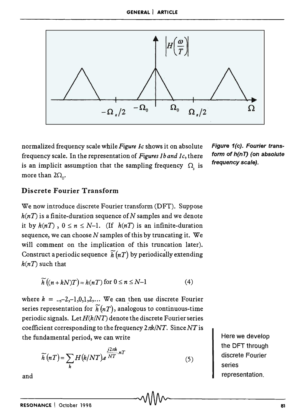

normalized frequency scale while *Figure Jc* shows it on absolute frequency scale. In the representation of *Figures* 1 *band* 1 c, there is an implicit assumption that the sampling frequency  $\Omega$ , is more than  $2\Omega_0$ .

Figure 1(c). Fourier transform of h(nT) (on absolute frequency scale).

### Discrete Fourier Transform

We now introduce discrete Fourier transform (DFT). Suppose  $h(nT)$  is a finite-duration sequence of N samples and we denote it by  $h(nT)$ ,  $0 \le n \le N-1$ . (If  $h(nT)$  is an infinite-duration sequence, we can choose *N* samples of this by truncating it. We will comment on the implication of this truncation later). Construct a periodic sequence  $\widetilde{h}(nT)$  by periodically extending  $h(nT)$  such that

$$
\widetilde{h}\left((n+kN)T\right) = h(nT) \text{ for } 0 \le n \le N-1 \tag{4}
$$

where  $k = ...,-2,-1,0,1,2,...$  We can then use discrete Fourier series representation for  $\widetilde{h}(nT)$ , analogous to continuous-time periodic signals. Let  $H(k/NT)$  denote the discrete Fourier series coefficient corresponding to the frequency *21lk/NT.* Since *NT* is the fundamental period, we can write

$$
\widetilde{h}(nT) = \sum_{k} H(k/NT).e^{\frac{j2\pi k}{NT} \cdot nT}
$$
\n(5)

Here we develop the DFT through discrete Fourier series representation.

and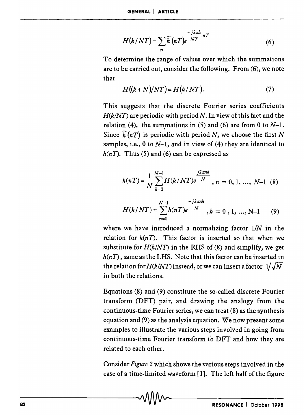$$
H(k/NT) = \sum_{n} \widetilde{h}(nT) e^{\frac{-j2\pi k}{NT} nT}
$$
 (6)

To determine the range of values over which the summations are to be carried out, consider the following. From (6), we note that

$$
H((k+N)/NT) = H(k/NT). \tag{7}
$$

This suggests that the discrete Fourier series coefficients  $H(k/NT)$  are periodic with period N. In view of this fact and the relation (4), the summations in (5) and (6) are from 0 to  $N-1$ . Since  $\widetilde{h}(nT)$  is periodic with period *N*, we choose the first *N* samples, i.e.,  $0$  to  $N-1$ , and in view of (4) they are identical to  $h(nT)$ . Thus (5) and (6) can be expressed as

$$
h(nT) = \frac{1}{N} \sum_{k=0}^{N-1} H(k/NT)e^{\frac{j2\pi nk}{N}}, n = 0, 1, ..., N-1
$$
 (8)

$$
H(k/NT) = \sum_{n=0}^{N-1} h(nT)e^{-j2\pi nk}, k = 0, 1, ..., N-1
$$
 (9)

where we have introduced a normalizing factor *liN* in the relation for  $h(nT)$ . This factor is inserted so that when we substitute for  $H(k/NT)$  in the RHS of (8) and simplify, we get  $h(nT)$ , same as the LHS. Note that this factor can be inserted in the relation for  $H(k/NT)$  instead, or we can insert a factor  $1/\sqrt{N}$ in both the relations.

Equations (8) and (9) constitute the so-called discrete Fourier transform (DFT) pair, and drawing the analogy from the continuous-time Fourier series, we can treat (8) as the synthesis equation and (9) as the analysis equation. We now present some examples to illustrate the various steps involved in going from continuous-time Fourier transform to DFT and how they are related to each other.

Consider *Figure* 2 which shows the various steps involved in the case of a time-limited waveform [1]. The left half of the figure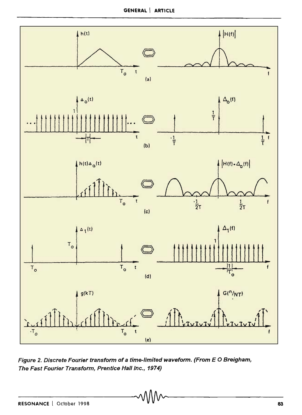GENERAL | ARTICLE



Figure 2. Discrete Fourier transform of a time-limited waveform. (From E 0 Breigham, The Fast Fourier Transform, Prentice Hall Inc., 1974)

 $\sim$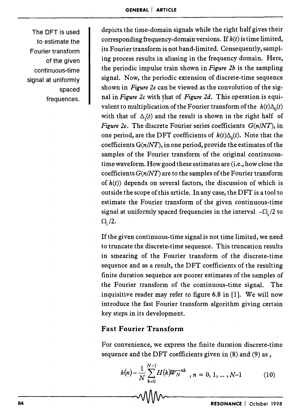The OFT is used to estimate the Fourier transform of the given continuous-time signal at uniformly spaced frequences.

depicts the time-domain signals while the right half gives their corresponding frequency-domain versions. If  $h(t)$  is time limited, its Fourier transform is not band-limited. Consequently, sampling process results in aliasing in the frequency domain. Here, the periodic impulse train shown in *Figure 2b* is the sampling signal. Now, the periodic extension of discrete-time sequence shown in *Figure 2e* can be viewed as the convolution of the signal in *Figure 2c* with that of *Figure 2d*. This operation is equivalent to multiplication of the Fourier transform of the  $h(t)\Delta_0(t)$ with that of  $\Delta_i(t)$  and the result is shown in the right half of *Figure 2e.* The discrete Fourier series coefficients *G(n/NT),* in one period, are the DFT coefficients of  $h(t)\Delta_0(t)$ . Note that the coefficients *G(n/NT),* in one period, provide the estimates of the samples of the Fourier transform of the original continuoustime waveform. How good these estimates are (i.e., how close the coefficients *G(n/NT)* are to the samples of the Fourier transform of  $h(t)$ ) depends on several factors, the discussion of which is outside the scope of this article. In any case, the DFT is a tool to estimate the Fourier transform of the given continuous-time signal at uniformly spaced frequencies in the interval  $-\Omega$ , /2 to  $\Omega$ , /2.

If the given continuous-time signal is not time limited, we need to truncate the discrete-time sequence. This truncation results in smearing of the Fourier transform of the discrete-time sequence and as a result, the DFT coefficients of the resulting finite duration sequence are poorer estimates of the samples of the Fourier transform of the continuous-time signal. The inquisitive reader may refer to figure 6.8 in [1]. We will now introduce the fast Fourier transform algorithm giving certain key steps in its development.

# Fast Fourier Transform

For convenience, we express the finite duration discrete-time sequence and the DFT coefficients given in (8) and (9) as,

$$
h(n) = \frac{1}{N} \sum_{k=0}^{N-1} H(k) W_N^{-nk}, n = 0, 1, ..., N-1
$$
 (10)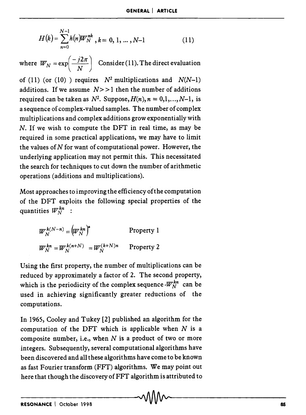$$
H(k) = \sum_{n=0}^{N-1} h(n) W_N^{nk}, k = 0, 1, ..., N-1
$$
 (11)

where  $W_N = \exp\left(\frac{-j2\pi}{N}\right)$  Consider (11). The direct evaluation

of (11) (or (10) ) requires  $N^2$  multiplications and  $N(N-1)$ additions. If we assume  $N \geq 1$  then the number of additions required can be taken as  $N^2$ . Suppose,  $H(n)$ ,  $n = 0,1,...,N-1$ , is a sequence of complex-valued samples. The number of complex multiplications and complex additions grow exponentially with N. If we wish to compute the DFT in real time, as may be required in some practical applications, we may have to limit the values of  $N$  for want of computational power. However, the underlying application may not permit this. This necessitated the search for techniques to cut down the number of arithmetic operations (additions and multiplications).

Most approaches to improving the efficiency of the computation of the DFT exploits the following special properties of the quantities  $W_N^{kn}$  :

> $W_N^{k(N-n)} = (W_N^{kn})^*$  Property 1  $W_N^{kn} = W_N^{k(n+N)} = W_N^{(k+N)n}$  Property 2

Using the first property, the number of multiplications can be reduced by approximately a factor of 2. The second property, which is the periodicity of the complex sequence  $\cdot W_N^{kn}$  can be used in achieving significantly greater reductions of the computations.

In 1965, Cooley and Tukey [2] published an algorithm for the computation of the DFT which is applicable when  $N$  is a composite number, i.e., when  $N$  is a product of two or more integers. Subsequently, several computational algorithms have been discovered and all these algorithms have come to be known as fast Fourier transform (FFT) algorithms. We may point out here that though the discovery of FFT algorithm is attributed to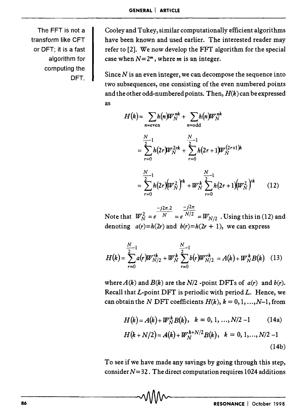The FFT is not a transform like CFT or OFT; it is a fast algorithm for computing the OFT.

Cooley and Tukey, similar computationally efficient algorithms have been known and used earlier. The interested reader may refer to [2]. We now develop the FFf algorithm for the special case when  $N=2^m$ , where *m* is an integer.

Since *N* is an even integer, we can decompose the sequence into two subsequences, one consisting of the even numbered points and the other odd-numbered points. Then, *H(k)* can be expressed as

$$
H(k) = \sum_{n=\text{even}} h(n)W_N^{nk} + \sum_{n=\text{odd}} h(n)W_N^{nk}
$$
  

$$
= \sum_{r=0}^{N} h(2r)W_N^{2rk} + \sum_{r=0}^{N-1} h(2r+1)W_N^{(2r+1)k}
$$
  

$$
= \sum_{r=0}^{N-1} h(2r)(W_N^2)^{nk} + W_N^k \sum_{r=0}^{N-1} h(2r+1)(W_N^2)^{nk}
$$
 (12)

Note that  $W_N^2 = e^{-j2\pi.2 \over N} = e^{\frac{-j2\pi}{N/2}} = W_{N/2}$ . Using this in (12) and denoting  $a(r)=h(2r)$  and  $b(r)=h(2r + 1)$ , we can express

$$
H(k) = \sum_{r=0}^{N-1} a(r) W_{N/2}^{rk} + W_N^k \sum_{r=0}^{N-1} b(r) W_{N/2}^{rk} = A(k) + W_N^k B(k)
$$
 (13)

where  $A(k)$  and  $B(k)$  are the  $N/2$  -point DFTs of  $a(r)$  and  $b(r)$ . Recall that  $L$ -point DFT is periodic with period  $L$ . Hence, we can obtain the *N* DFT coefficients  $H(k)$ ,  $k = 0, 1, ..., N-1$ , from

$$
H(k) = A(k) + W_N^k B(k), \quad k = 0, 1, ..., N/2 - 1 \quad (14a)
$$

$$
H(k+N/2) = A(k) + W_N^{k+N/2} B(k), \quad k = 0, 1, ..., N/2 - 1
$$
\n(14b)

To see if we have made any savings by going through this step, consider  $N=32$ . The direct computation requires 1024 additions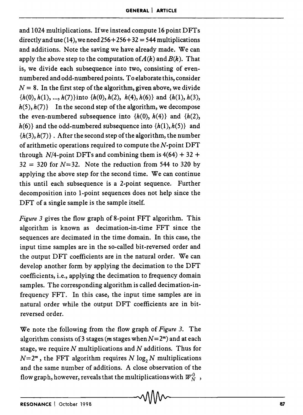and 1024 multiplications. If we instead compute 16 point DFTs directly and use (14), we need  $256 + 256 + 32 = 544$  multiplications and additions. Note the saving we have already made. We can apply the above step to the computation of  $A(k)$  and  $B(k)$ . That is, we divide each subsequence into two, consisting of evennumbered and odd-numbered points. To elaborate this, consider  $N = 8$ . In the first step of the algorithm, given above, we divide  $\{h(0), h(1), ..., h(7)\}\$ into  $\{h(0), h(2), h(4), h(6)\}\$  and  $\{h(1), h(3),$  $h(5)$ ,  $h(7)$  In the second step of the algorithm, we decompose the even-numbered subsequence into  $\{h(0), h(4)\}\$  and  $\{h(2),$  $h(6)$  and the odd-numbered subsequence into  $\{h(1), h(5)\}$  and  $\{h(3), h(7)\}\.$  After the second step of the algorithm, the number of arithmetic operations required to compute the  $N$ -point  $DFT$ through  $N/4$ -point DFTs and combining them is  $4(64) + 32 +$  $32 = 320$  for  $N=32$ . Note the reduction from 544 to 320 by applying the above step for the second time. We can continue this until each subsequence is a 2-point sequence. Further decomposition into I-point sequences does not help since the DFT of a single sample is the sample itself.

*Figure* 3 gives the flow graph of 8-point FFT algorithm. This algorithm is known as decimation-in-time FFT since the sequences are decimated in the time domain. In this case, the input time samples are in the so-called bit-reversed order and the output DFf coefficients are in the natural order. We can develop another form by applying the decimation to the DFT coefficients, i.e., applying the decimation to frequency domain samples. The corresponding algorithm is called decimation-infrequency FFf. In this case, the input time samples are in natural order while the output DFT coefficients are in bitreversed order.

We note the following from the flow graph of *Figure* 3. The algorithm consists of 3 stages (*m* stages when  $N=2<sup>m</sup>$ ) and at each stage, we require  $N$  multiplications and  $N$  additions. Thus for  $N=2^m$ , the FFT algorithm requires *N* log, *N* multiplications and the same number of additions. A close observation of the flow graph, however, reveals that the multiplications with  $W_N^0$ ,